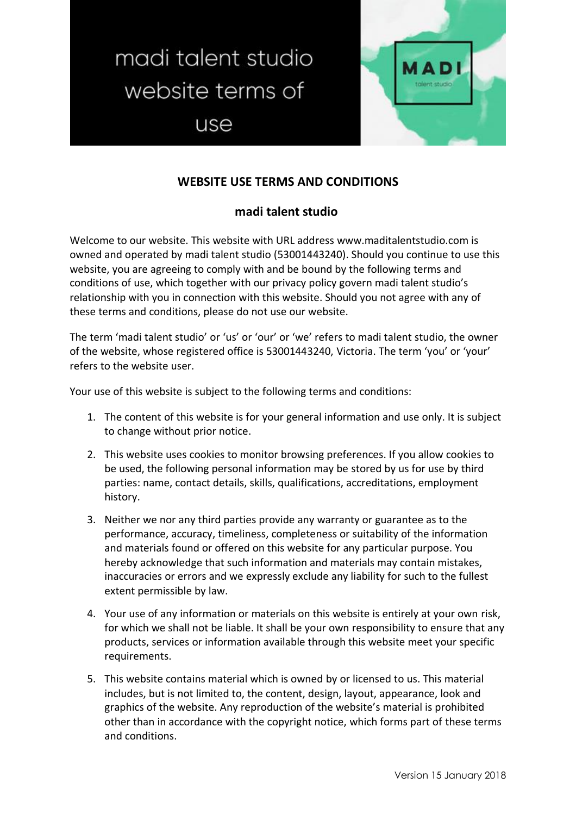madi talent studio website terms of use



## **WEBSITE USE TERMS AND CONDITIONS**

## **madi talent studio**

Welcome to our website. This website with URL address www.maditalentstudio.com is owned and operated by madi talent studio (53001443240). Should you continue to use this website, you are agreeing to comply with and be bound by the following terms and conditions of use, which together with our privacy policy govern madi talent studio's relationship with you in connection with this website. Should you not agree with any of these terms and conditions, please do not use our website.

The term 'madi talent studio' or 'us' or 'our' or 'we' refers to madi talent studio, the owner of the website, whose registered office is 53001443240, Victoria. The term 'you' or 'your' refers to the website user.

Your use of this website is subject to the following terms and conditions:

- 1. The content of this website is for your general information and use only. It is subject to change without prior notice.
- 2. This website uses cookies to monitor browsing preferences. If you allow cookies to be used, the following personal information may be stored by us for use by third parties: name, contact details, skills, qualifications, accreditations, employment history.
- 3. Neither we nor any third parties provide any warranty or guarantee as to the performance, accuracy, timeliness, completeness or suitability of the information and materials found or offered on this website for any particular purpose. You hereby acknowledge that such information and materials may contain mistakes, inaccuracies or errors and we expressly exclude any liability for such to the fullest extent permissible by law.
- 4. Your use of any information or materials on this website is entirely at your own risk, for which we shall not be liable. It shall be your own responsibility to ensure that any products, services or information available through this website meet your specific requirements.
- 5. This website contains material which is owned by or licensed to us. This material includes, but is not limited to, the content, design, layout, appearance, look and graphics of the website. Any reproduction of the website's material is prohibited other than in accordance with the copyright notice, which forms part of these terms and conditions.